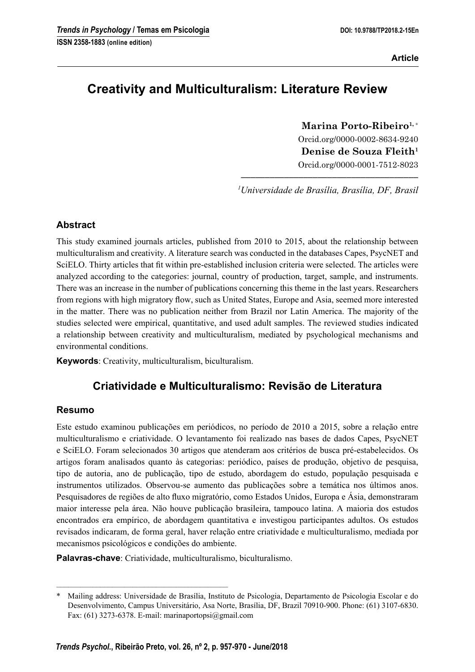# **Creativity and Multiculturalism: Literature Review**

Marina Porto-Ribeiro<sup>1,∗</sup> Orcid.org/0000-0002-8634-9240 **Denise de Souza Fleith1** Orcid.org/0000-0001-7512-8023

**–––––––––––––––––––––––––––––––––––––** *1 Universidade de Brasília, Brasília, DF, Brasil*

# **Abstract**

This study examined journals articles, published from 2010 to 2015, about the relationship between multiculturalism and creativity. A literature search was conducted in the databases Capes, PsycNET and SciELO. Thirty articles that fit within pre-established inclusion criteria were selected. The articles were analyzed according to the categories: journal, country of production, target, sample, and instruments. There was an increase in the number of publications concerning this theme in the last years. Researchers from regions with high migratory flow, such as United States, Europe and Asia, seemed more interested in the matter. There was no publication neither from Brazil nor Latin America. The majority of the studies selected were empirical, quantitative, and used adult samples. The reviewed studies indicated a relationship between creativity and multiculturalism, mediated by psychological mechanisms and environmental conditions.

**Keywords**: Creativity, multiculturalism, biculturalism.

# **Criatividade e Multiculturalismo: Revisão de Literatura**

## **Resumo**

Este estudo examinou publicações em periódicos, no período de 2010 a 2015, sobre a relação entre multiculturalismo e criatividade. O levantamento foi realizado nas bases de dados Capes, PsycNET e SciELO. Foram selecionados 30 artigos que atenderam aos critérios de busca pré-estabelecidos. Os artigos foram analisados quanto às categorias: periódico, países de produção, objetivo de pesquisa, tipo de autoria, ano de publicação, tipo de estudo, abordagem do estudo, população pesquisada e instrumentos utilizados. Observou-se aumento das publicações sobre a temática nos últimos anos. Pesquisadores de regiões de alto fluxo migratório, como Estados Unidos, Europa e Ásia, demonstraram maior interesse pela área. Não houve publicação brasileira, tampouco latina. A maioria dos estudos encontrados era empírico, de abordagem quantitativa e investigou participantes adultos. Os estudos revisados indicaram, de forma geral, haver relação entre criatividade e multiculturalismo, mediada por mecanismos psicológicos e condições do ambiente.

**Palavras-chave**: Criatividade, multiculturalismo, biculturalismo.

–––––––––––––––––––––––––––––––––––––––––––

<sup>\*</sup> Mailing address: Universidade de Brasília, Instituto de Psicologia, Departamento de Psicologia Escolar e do Desenvolvimento, Campus Universitário, Asa Norte, Brasília, DF, Brazil 70910-900. Phone: (61) 3107-6830. Fax: (61) 3273-6378. E-mail: marinaportopsi@gmail.com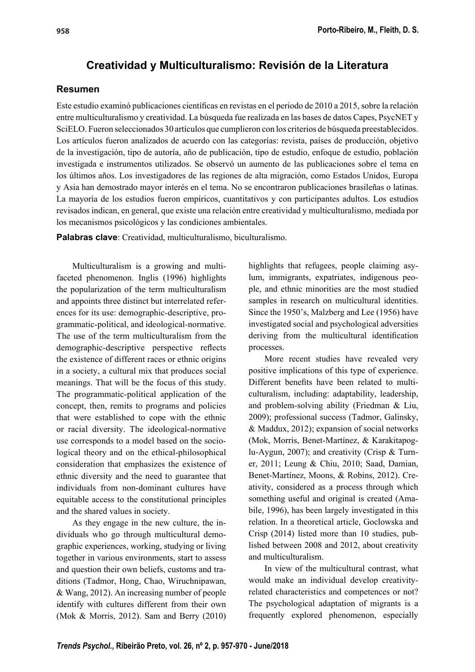# **Creatividad y Multiculturalismo: Revisión de la Literatura**

#### **Resumen**

Este estudio examinó publicaciones científicas en revistas en el periodo de 2010 a 2015, sobre la relación entre multiculturalismo y creatividad. La búsqueda fue realizada en las bases de datos Capes, PsycNET y SciELO. Fueron seleccionados 30 artículos que cumplieron con los criterios de búsqueda preestablecidos. Los artículos fueron analizados de acuerdo con las categorías: revista, países de producción, objetivo de la investigación, tipo de autoría, año de publicación, tipo de estudio, enfoque de estudio, población investigada e instrumentos utilizados. Se observó un aumento de las publicaciones sobre el tema en los últimos años. Los investigadores de las regiones de alta migración, como Estados Unidos, Europa y Asia han demostrado mayor interés en el tema. No se encontraron publicaciones brasileñas o latinas. La mayoría de los estudios fueron empíricos, cuantitativos y con participantes adultos. Los estudios revisados indican, en general, que existe una relación entre creatividad y multiculturalismo, mediada por los mecanismos psicológicos y las condiciones ambientales.

**Palabras clave**: Creatividad, multiculturalismo, biculturalismo.

Multiculturalism is a growing and multifaceted phenomenon. Inglis (1996) highlights the popularization of the term multiculturalism and appoints three distinct but interrelated references for its use: demographic-descriptive, programmatic-political, and ideological-normative. The use of the term multiculturalism from the demographic-descriptive perspective reflects the existence of different races or ethnic origins in a society, a cultural mix that produces social meanings. That will be the focus of this study. The programmatic-political application of the concept, then, remits to programs and policies that were established to cope with the ethnic or racial diversity. The ideological-normative use corresponds to a model based on the sociological theory and on the ethical-philosophical consideration that emphasizes the existence of ethnic diversity and the need to guarantee that individuals from non-dominant cultures have equitable access to the constitutional principles and the shared values in society.

As they engage in the new culture, the individuals who go through multicultural demographic experiences, working, studying or living together in various environments, start to assess and question their own beliefs, customs and traditions (Tadmor, Hong, Chao, Wiruchnipawan, & Wang, 2012). An increasing number of people identify with cultures different from their own (Mok & Morris, 2012). Sam and Berry (2010) highlights that refugees, people claiming asylum, immigrants, expatriates, indigenous people, and ethnic minorities are the most studied samples in research on multicultural identities. Since the 1950's, Malzberg and Lee (1956) have investigated social and psychological adversities deriving from the multicultural identification processes.

More recent studies have revealed very positive implications of this type of experience. Different benefits have been related to multiculturalism, including: adaptability, leadership, and problem-solving ability (Friedman & Liu, 2009); professional success (Tadmor, Galinsky, & Maddux, 2012); expansion of social networks (Mok, Morris, Benet-Martínez, & Karakitapoglu-Aygun, 2007); and creativity (Crisp & Turner, 2011; Leung & Chiu, 2010; Saad, Damian, Benet-Martínez, Moons, & Robins, 2012). Creativity, considered as a process through which something useful and original is created (Amabile, 1996), has been largely investigated in this relation. In a theoretical article, Goclowska and Crisp (2014) listed more than 10 studies, published between 2008 and 2012, about creativity and multiculturalism.

In view of the multicultural contrast, what would make an individual develop creativityrelated characteristics and competences or not? The psychological adaptation of migrants is a frequently explored phenomenon, especially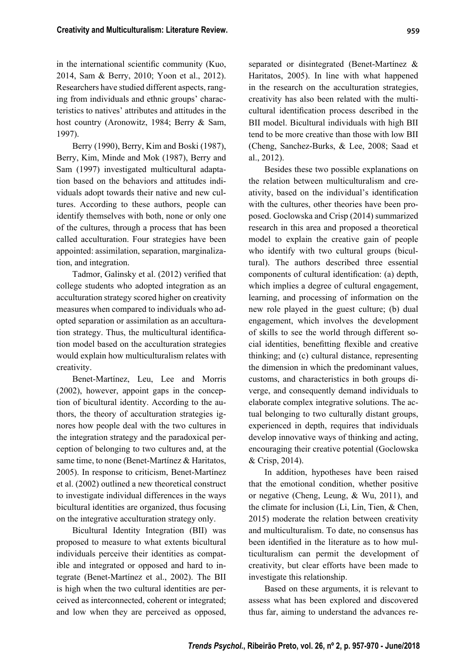in the international scientific community (Kuo, 2014, Sam & Berry, 2010; Yoon et al., 2012). Researchers have studied different aspects, ranging from individuals and ethnic groups' characteristics to natives' attributes and attitudes in the host country (Aronowitz, 1984; Berry & Sam, 1997).

Berry (1990), Berry, Kim and Boski (1987), Berry, Kim, Minde and Mok (1987), Berry and Sam (1997) investigated multicultural adaptation based on the behaviors and attitudes individuals adopt towards their native and new cultures. According to these authors, people can identify themselves with both, none or only one of the cultures, through a process that has been called acculturation. Four strategies have been appointed: assimilation, separation, marginalization, and integration.

Tadmor, Galinsky et al. (2012) verified that college students who adopted integration as an acculturation strategy scored higher on creativity measures when compared to individuals who adopted separation or assimilation as an acculturation strategy. Thus, the multicultural identification model based on the acculturation strategies would explain how multiculturalism relates with creativity.

Benet-Martínez, Leu, Lee and Morris (2002), however, appoint gaps in the conception of bicultural identity. According to the authors, the theory of acculturation strategies ignores how people deal with the two cultures in the integration strategy and the paradoxical perception of belonging to two cultures and, at the same time, to none (Benet-Martínez & Haritatos, 2005). In response to criticism, Benet-Martínez et al. (2002) outlined a new theoretical construct to investigate individual differences in the ways bicultural identities are organized, thus focusing on the integrative acculturation strategy only.

Bicultural Identity Integration (BII) was proposed to measure to what extents bicultural individuals perceive their identities as compatible and integrated or opposed and hard to integrate (Benet-Martínez et al., 2002). The BII is high when the two cultural identities are perceived as interconnected, coherent or integrated; and low when they are perceived as opposed,

separated or disintegrated (Benet-Martínez & Haritatos, 2005). In line with what happened in the research on the acculturation strategies, creativity has also been related with the multicultural identification process described in the BII model. Bicultural individuals with high BII tend to be more creative than those with low BII (Cheng, Sanchez-Burks, & Lee, 2008; Saad et al., 2012).

Besides these two possible explanations on the relation between multiculturalism and creativity, based on the individual's identification with the cultures, other theories have been proposed. Goclowska and Crisp (2014) summarized research in this area and proposed a theoretical model to explain the creative gain of people who identify with two cultural groups (bicultural). The authors described three essential components of cultural identification: (a) depth, which implies a degree of cultural engagement, learning, and processing of information on the new role played in the guest culture; (b) dual engagement, which involves the development of skills to see the world through different social identities, benefitting flexible and creative thinking; and (c) cultural distance, representing the dimension in which the predominant values, customs, and characteristics in both groups diverge, and consequently demand individuals to elaborate complex integrative solutions. The actual belonging to two culturally distant groups, experienced in depth, requires that individuals develop innovative ways of thinking and acting, encouraging their creative potential (Goclowska & Crisp, 2014).

In addition, hypotheses have been raised that the emotional condition, whether positive or negative (Cheng, Leung, & Wu, 2011), and the climate for inclusion (Li, Lin, Tien, & Chen, 2015) moderate the relation between creativity and multiculturalism. To date, no consensus has been identified in the literature as to how multiculturalism can permit the development of creativity, but clear efforts have been made to investigate this relationship.

Based on these arguments, it is relevant to assess what has been explored and discovered thus far, aiming to understand the advances re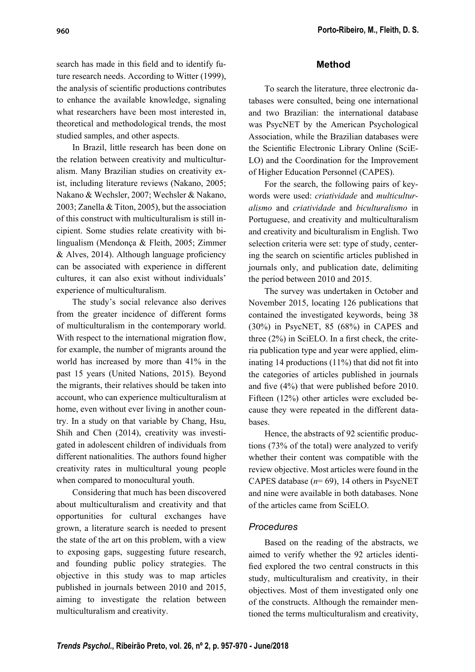search has made in this field and to identify future research needs. According to Witter (1999), the analysis of scientific productions contributes to enhance the available knowledge, signaling what researchers have been most interested in, theoretical and methodological trends, the most studied samples, and other aspects.

In Brazil, little research has been done on the relation between creativity and multiculturalism. Many Brazilian studies on creativity exist, including literature reviews (Nakano, 2005; Nakano & Wechsler, 2007; Wechsler & Nakano, 2003; Zanella & Titon, 2005), but the association of this construct with multiculturalism is still incipient. Some studies relate creativity with bilingualism (Mendonça & Fleith, 2005; Zimmer  $&$  Alves, 2014). Although language proficiency can be associated with experience in different cultures, it can also exist without individuals' experience of multiculturalism.

The study's social relevance also derives from the greater incidence of different forms of multiculturalism in the contemporary world. With respect to the international migration flow, for example, the number of migrants around the world has increased by more than 41% in the past 15 years (United Nations, 2015). Beyond the migrants, their relatives should be taken into account, who can experience multiculturalism at home, even without ever living in another country. In a study on that variable by Chang, Hsu, Shih and Chen (2014), creativity was investigated in adolescent children of individuals from different nationalities. The authors found higher creativity rates in multicultural young people when compared to monocultural youth.

Considering that much has been discovered about multiculturalism and creativity and that opportunities for cultural exchanges have grown, a literature search is needed to present the state of the art on this problem, with a view to exposing gaps, suggesting future research, and founding public policy strategies. The objective in this study was to map articles published in journals between 2010 and 2015, aiming to investigate the relation between multiculturalism and creativity.

#### **Method**

To search the literature, three electronic databases were consulted, being one international and two Brazilian: the international database was PsycNET by the American Psychological Association, while the Brazilian databases were the Scientific Electronic Library Online (SciE-LO) and the Coordination for the Improvement of Higher Education Personnel (CAPES).

For the search, the following pairs of keywords were used: *criatividade* and *multiculturalismo* and *criatividade* and *biculturalismo* in Portuguese, and creativity and multiculturalism and creativity and biculturalism in English. Two selection criteria were set: type of study, centering the search on scientific articles published in journals only, and publication date, delimiting the period between 2010 and 2015.

The survey was undertaken in October and November 2015, locating 126 publications that contained the investigated keywords, being 38 (30%) in PsycNET, 85 (68%) in CAPES and three  $(2\%)$  in SciELO. In a first check, the criteria publication type and year were applied, eliminating 14 productions  $(11\%)$  that did not fit into the categories of articles published in journals and five  $(4\%)$  that were published before 2010. Fifteen (12%) other articles were excluded because they were repeated in the different databases.

Hence, the abstracts of 92 scientific productions (73% of the total) were analyzed to verify whether their content was compatible with the review objective. Most articles were found in the CAPES database  $(n=69)$ , 14 others in PsycNET and nine were available in both databases. None of the articles came from SciELO.

#### *Procedures*

Based on the reading of the abstracts, we aimed to verify whether the 92 articles identified explored the two central constructs in this study, multiculturalism and creativity, in their objectives. Most of them investigated only one of the constructs. Although the remainder mentioned the terms multiculturalism and creativity,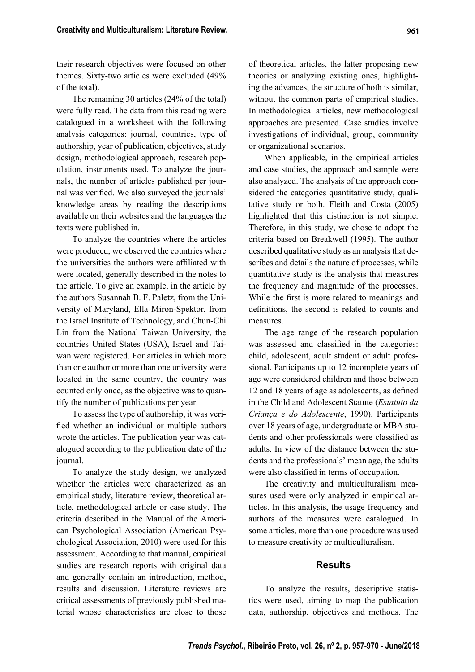their research objectives were focused on other themes. Sixty-two articles were excluded (49% of the total).

The remaining 30 articles (24% of the total) were fully read. The data from this reading were catalogued in a worksheet with the following analysis categories: journal, countries, type of authorship, year of publication, objectives, study design, methodological approach, research population, instruments used. To analyze the journals, the number of articles published per journal was verified. We also surveyed the journals' knowledge areas by reading the descriptions available on their websites and the languages the texts were published in.

To analyze the countries where the articles were produced, we observed the countries where the universities the authors were affiliated with were located, generally described in the notes to the article. To give an example, in the article by the authors Susannah B. F. Paletz, from the University of Maryland, Ella Miron-Spektor, from the Israel Institute of Technology, and Chun-Chi Lin from the National Taiwan University, the countries United States (USA), Israel and Taiwan were registered. For articles in which more than one author or more than one university were located in the same country, the country was counted only once, as the objective was to quantify the number of publications per year.

To assess the type of authorship, it was verified whether an individual or multiple authors wrote the articles. The publication year was catalogued according to the publication date of the journal.

To analyze the study design, we analyzed whether the articles were characterized as an empirical study, literature review, theoretical article, methodological article or case study. The criteria described in the Manual of the American Psychological Association (American Psychological Association, 2010) were used for this assessment. According to that manual, empirical studies are research reports with original data and generally contain an introduction, method, results and discussion. Literature reviews are critical assessments of previously published material whose characteristics are close to those

of theoretical articles, the latter proposing new theories or analyzing existing ones, highlighting the advances; the structure of both is similar, without the common parts of empirical studies. In methodological articles, new methodological approaches are presented. Case studies involve investigations of individual, group, community or organizational scenarios.

When applicable, in the empirical articles and case studies, the approach and sample were also analyzed. The analysis of the approach considered the categories quantitative study, qualitative study or both. Fleith and Costa (2005) highlighted that this distinction is not simple. Therefore, in this study, we chose to adopt the criteria based on Breakwell (1995). The author described qualitative study as an analysis that describes and details the nature of processes, while quantitative study is the analysis that measures the frequency and magnitude of the processes. While the first is more related to meanings and definitions, the second is related to counts and measures.

The age range of the research population was assessed and classified in the categories: child, adolescent, adult student or adult professional. Participants up to 12 incomplete years of age were considered children and those between 12 and 18 years of age as adolescents, as defined in the Child and Adolescent Statute (*Estatuto da Criança e do Adolescente*, 1990). Participants over 18 years of age, undergraduate or MBA students and other professionals were classified as adults. In view of the distance between the students and the professionals' mean age, the adults were also classified in terms of occupation.

The creativity and multiculturalism measures used were only analyzed in empirical articles. In this analysis, the usage frequency and authors of the measures were catalogued. In some articles, more than one procedure was used to measure creativity or multiculturalism.

#### **Results**

To analyze the results, descriptive statistics were used, aiming to map the publication data, authorship, objectives and methods. The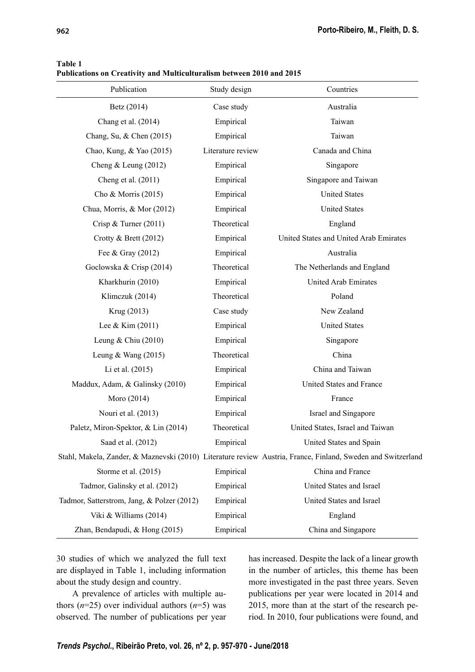**Publications on Creativity and Multiculturalism between 2010 and 2015**

| Publication                                | Study design      | Countries                                                                                                    |
|--------------------------------------------|-------------------|--------------------------------------------------------------------------------------------------------------|
| Betz (2014)                                | Case study        | Australia                                                                                                    |
| Chang et al. (2014)                        | Empirical         | Taiwan                                                                                                       |
| Chang, Su, & Chen (2015)                   | Empirical         | Taiwan                                                                                                       |
| Chao, Kung, & Yao (2015)                   | Literature review | Canada and China                                                                                             |
| Cheng $&$ Leung (2012)                     | Empirical         | Singapore                                                                                                    |
| Cheng et al. $(2011)$                      | Empirical         | Singapore and Taiwan                                                                                         |
| Cho & Morris $(2015)$                      | Empirical         | <b>United States</b>                                                                                         |
| Chua, Morris, & Mor (2012)                 | Empirical         | <b>United States</b>                                                                                         |
| Crisp & Turner $(2011)$                    | Theoretical       | England                                                                                                      |
| Crotty & Brett $(2012)$                    | Empirical         | United States and United Arab Emirates                                                                       |
| Fee & Gray (2012)                          | Empirical         | Australia                                                                                                    |
| Goclowska & Crisp (2014)                   | Theoretical       | The Netherlands and England                                                                                  |
| Kharkhurin (2010)                          | Empirical         | <b>United Arab Emirates</b>                                                                                  |
| Klimczuk (2014)                            | Theoretical       | Poland                                                                                                       |
| Krug (2013)                                | Case study        | New Zealand                                                                                                  |
| Lee & Kim (2011)                           | Empirical         | <b>United States</b>                                                                                         |
| Leung & Chiu $(2010)$                      | Empirical         | Singapore                                                                                                    |
| Leung & Wang $(2015)$                      | Theoretical       | China                                                                                                        |
| Li et al. (2015)                           | Empirical         | China and Taiwan                                                                                             |
| Maddux, Adam, & Galinsky (2010)            | Empirical         | United States and France                                                                                     |
| Moro (2014)                                | Empirical         | France                                                                                                       |
| Nouri et al. (2013)                        | Empirical         | Israel and Singapore                                                                                         |
| Paletz, Miron-Spektor, & Lin (2014)        | Theoretical       | United States, Israel and Taiwan                                                                             |
| Saad et al. (2012)                         | Empirical         | United States and Spain                                                                                      |
|                                            |                   | Stahl, Makela, Zander, & Maznevski (2010) Literature review Austria, France, Finland, Sweden and Switzerland |
| Storme et al. (2015)                       | Empirical         | China and France                                                                                             |
| Tadmor, Galinsky et al. (2012)             | Empirical         | United States and Israel                                                                                     |
| Tadmor, Satterstrom, Jang, & Polzer (2012) | Empirical         | United States and Israel                                                                                     |
| Viki & Williams (2014)                     | Empirical         | England                                                                                                      |
| Zhan, Bendapudi, & Hong (2015)             | Empirical         | China and Singapore                                                                                          |

30 studies of which we analyzed the full text are displayed in Table 1, including information about the study design and country.

A prevalence of articles with multiple authors  $(n=25)$  over individual authors  $(n=5)$  was observed. The number of publications per year has increased. Despite the lack of a linear growth in the number of articles, this theme has been more investigated in the past three years. Seven publications per year were located in 2014 and 2015, more than at the start of the research period. In 2010, four publications were found, and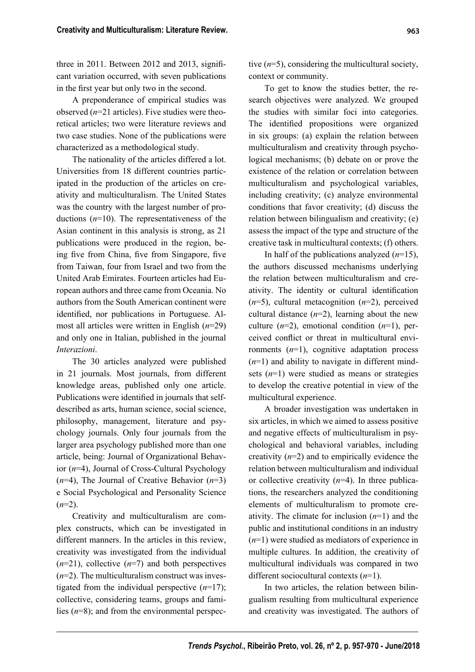three in  $2011$ . Between  $2012$  and  $2013$ , significant variation occurred, with seven publications in the first year but only two in the second.

A preponderance of empirical studies was observed (*n*=21 articles). Five studies were theoretical articles; two were literature reviews and two case studies. None of the publications were characterized as a methodological study.

The nationality of the articles differed a lot. Universities from 18 different countries participated in the production of the articles on creativity and multiculturalism. The United States was the country with the largest number of productions (*n*=10). The representativeness of the Asian continent in this analysis is strong, as 21 publications were produced in the region, being five from China, five from Singapore, five from Taiwan, four from Israel and two from the United Arab Emirates. Fourteen articles had European authors and three came from Oceania. No authors from the South American continent were identified, nor publications in Portuguese. Almost all articles were written in English (*n*=29) and only one in Italian, published in the journal *Interazioni*.

The 30 articles analyzed were published in 21 journals. Most journals, from different knowledge areas, published only one article. Publications were identified in journals that selfdescribed as arts, human science, social science, philosophy, management, literature and psychology journals. Only four journals from the larger area psychology published more than one article, being: Journal of Organizational Behavior (*n*=4), Journal of Cross-Cultural Psychology (*n*=4), The Journal of Creative Behavior (*n*=3) e Social Psychological and Personality Science  $(n=2)$ .

Creativity and multiculturalism are complex constructs, which can be investigated in different manners. In the articles in this review, creativity was investigated from the individual (*n*=21), collective (*n*=7) and both perspectives  $(n=2)$ . The multiculturalism construct was investigated from the individual perspective (*n*=17); collective, considering teams, groups and families (*n*=8); and from the environmental perspective (*n*=5), considering the multicultural society, context or community.

To get to know the studies better, the research objectives were analyzed. We grouped the studies with similar foci into categories. The identified propositions were organized in six groups: (a) explain the relation between multiculturalism and creativity through psychological mechanisms; (b) debate on or prove the existence of the relation or correlation between multiculturalism and psychological variables, including creativity; (c) analyze environmental conditions that favor creativity; (d) discuss the relation between bilingualism and creativity; (e) assess the impact of the type and structure of the creative task in multicultural contexts; (f) others.

In half of the publications analyzed (*n*=15), the authors discussed mechanisms underlying the relation between multiculturalism and creativity. The identity or cultural identification (*n*=5), cultural metacognition (*n*=2), perceived cultural distance  $(n=2)$ , learning about the new culture  $(n=2)$ , emotional condition  $(n=1)$ , perceived conflict or threat in multicultural environments  $(n=1)$ , cognitive adaptation process (*n*=1) and ability to navigate in different mindsets (*n*=1) were studied as means or strategies to develop the creative potential in view of the multicultural experience.

A broader investigation was undertaken in six articles, in which we aimed to assess positive and negative effects of multiculturalism in psychological and behavioral variables, including creativity (*n*=2) and to empirically evidence the relation between multiculturalism and individual or collective creativity (*n*=4). In three publications, the researchers analyzed the conditioning elements of multiculturalism to promote creativity. The climate for inclusion (*n*=1) and the public and institutional conditions in an industry (*n*=1) were studied as mediators of experience in multiple cultures. In addition, the creativity of multicultural individuals was compared in two different sociocultural contexts (*n*=1).

In two articles, the relation between bilingualism resulting from multicultural experience and creativity was investigated. The authors of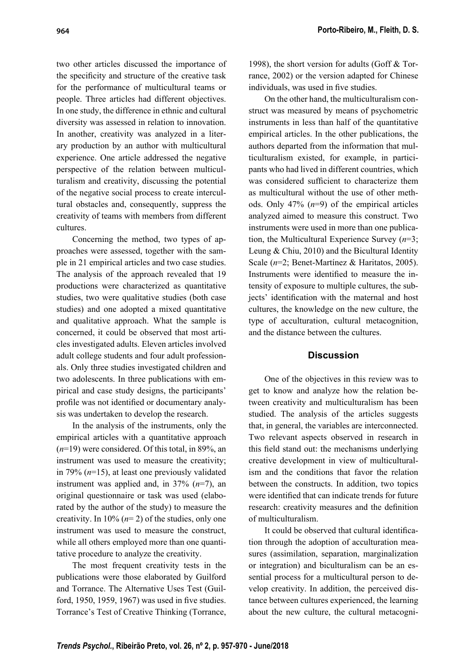two other articles discussed the importance of the specificity and structure of the creative task for the performance of multicultural teams or people. Three articles had different objectives. In one study, the difference in ethnic and cultural diversity was assessed in relation to innovation. In another, creativity was analyzed in a literary production by an author with multicultural experience. One article addressed the negative perspective of the relation between multiculturalism and creativity, discussing the potential of the negative social process to create intercultural obstacles and, consequently, suppress the creativity of teams with members from different cultures.

Concerning the method, two types of approaches were assessed, together with the sample in 21 empirical articles and two case studies. The analysis of the approach revealed that 19 productions were characterized as quantitative studies, two were qualitative studies (both case studies) and one adopted a mixed quantitative and qualitative approach. What the sample is concerned, it could be observed that most articles investigated adults. Eleven articles involved adult college students and four adult professionals. Only three studies investigated children and two adolescents. In three publications with empirical and case study designs, the participants' profile was not identified or documentary analysis was undertaken to develop the research.

In the analysis of the instruments, only the empirical articles with a quantitative approach (*n*=19) were considered. Of this total, in 89%, an instrument was used to measure the creativity; in 79% (*n*=15), at least one previously validated instrument was applied and, in 37% (*n*=7), an original questionnaire or task was used (elaborated by the author of the study) to measure the creativity. In 10% (*n*= 2) of the studies, only one instrument was used to measure the construct, while all others employed more than one quantitative procedure to analyze the creativity.

The most frequent creativity tests in the publications were those elaborated by Guilford and Torrance. The Alternative Uses Test (Guilford,  $1950$ ,  $1959$ ,  $1967$ ) was used in five studies. Torrance's Test of Creative Thinking (Torrance, 1998), the short version for adults (Goff & Torrance, 2002) or the version adapted for Chinese individuals, was used in five studies.

On the other hand, the multiculturalism construct was measured by means of psychometric instruments in less than half of the quantitative empirical articles. In the other publications, the authors departed from the information that multiculturalism existed, for example, in participants who had lived in different countries, which was considered sufficient to characterize them as multicultural without the use of other methods. Only 47% (*n*=9) of the empirical articles analyzed aimed to measure this construct. Two instruments were used in more than one publication, the Multicultural Experience Survey (*n*=3; Leung & Chiu, 2010) and the Bicultural Identity Scale (*n*=2; Benet-Martínez & Haritatos, 2005). Instruments were identified to measure the intensity of exposure to multiple cultures, the subjects' identification with the maternal and host cultures, the knowledge on the new culture, the type of acculturation, cultural metacognition, and the distance between the cultures.

### **Discussion**

One of the objectives in this review was to get to know and analyze how the relation between creativity and multiculturalism has been studied. The analysis of the articles suggests that, in general, the variables are interconnected. Two relevant aspects observed in research in this field stand out: the mechanisms underlying creative development in view of multiculturalism and the conditions that favor the relation between the constructs. In addition, two topics were identified that can indicate trends for future research: creativity measures and the definition of multiculturalism.

It could be observed that cultural identification through the adoption of acculturation measures (assimilation, separation, marginalization or integration) and biculturalism can be an essential process for a multicultural person to develop creativity. In addition, the perceived distance between cultures experienced, the learning about the new culture, the cultural metacogni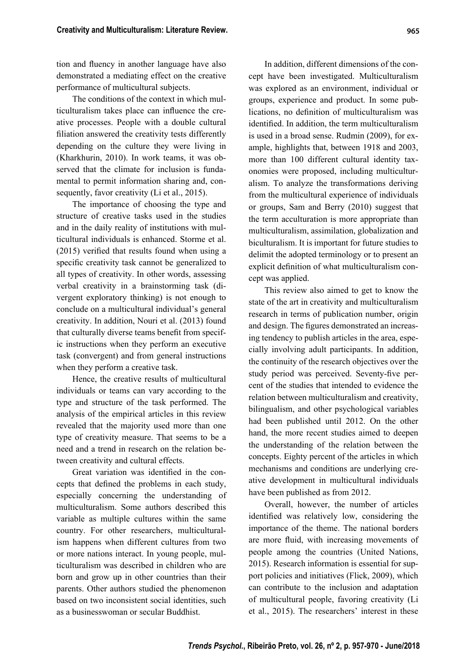tion and fluency in another language have also demonstrated a mediating effect on the creative performance of multicultural subjects.

The conditions of the context in which multiculturalism takes place can influence the creative processes. People with a double cultural filiation answered the creativity tests differently depending on the culture they were living in (Kharkhurin, 2010). In work teams, it was observed that the climate for inclusion is fundamental to permit information sharing and, consequently, favor creativity (Li et al., 2015).

The importance of choosing the type and structure of creative tasks used in the studies and in the daily reality of institutions with multicultural individuals is enhanced. Storme et al.  $(2015)$  verified that results found when using a specific creativity task cannot be generalized to all types of creativity. In other words, assessing verbal creativity in a brainstorming task (divergent exploratory thinking) is not enough to conclude on a multicultural individual's general creativity. In addition, Nouri et al. (2013) found that culturally diverse teams benefit from specific instructions when they perform an executive task (convergent) and from general instructions when they perform a creative task.

Hence, the creative results of multicultural individuals or teams can vary according to the type and structure of the task performed. The analysis of the empirical articles in this review revealed that the majority used more than one type of creativity measure. That seems to be a need and a trend in research on the relation between creativity and cultural effects.

Great variation was identified in the concepts that defined the problems in each study, especially concerning the understanding of multiculturalism. Some authors described this variable as multiple cultures within the same country. For other researchers, multiculturalism happens when different cultures from two or more nations interact. In young people, multiculturalism was described in children who are born and grow up in other countries than their parents. Other authors studied the phenomenon based on two inconsistent social identities, such as a businesswoman or secular Buddhist.

In addition, different dimensions of the concept have been investigated. Multiculturalism was explored as an environment, individual or groups, experience and product. In some publications, no definition of multiculturalism was identified. In addition, the term multiculturalism is used in a broad sense. Rudmin (2009), for example, highlights that, between 1918 and 2003, more than 100 different cultural identity taxonomies were proposed, including multiculturalism. To analyze the transformations deriving from the multicultural experience of individuals or groups, Sam and Berry (2010) suggest that the term acculturation is more appropriate than multiculturalism, assimilation, globalization and biculturalism. It is important for future studies to delimit the adopted terminology or to present an explicit definition of what multiculturalism concept was applied.

This review also aimed to get to know the state of the art in creativity and multiculturalism research in terms of publication number, origin and design. The figures demonstrated an increasing tendency to publish articles in the area, especially involving adult participants. In addition, the continuity of the research objectives over the study period was perceived. Seventy-five percent of the studies that intended to evidence the relation between multiculturalism and creativity, bilingualism, and other psychological variables had been published until 2012. On the other hand, the more recent studies aimed to deepen the understanding of the relation between the concepts. Eighty percent of the articles in which mechanisms and conditions are underlying creative development in multicultural individuals have been published as from 2012.

Overall, however, the number of articles identified was relatively low, considering the importance of the theme. The national borders are more fluid, with increasing movements of people among the countries (United Nations, 2015). Research information is essential for support policies and initiatives (Flick, 2009), which can contribute to the inclusion and adaptation of multicultural people, favoring creativity (Li et al., 2015). The researchers' interest in these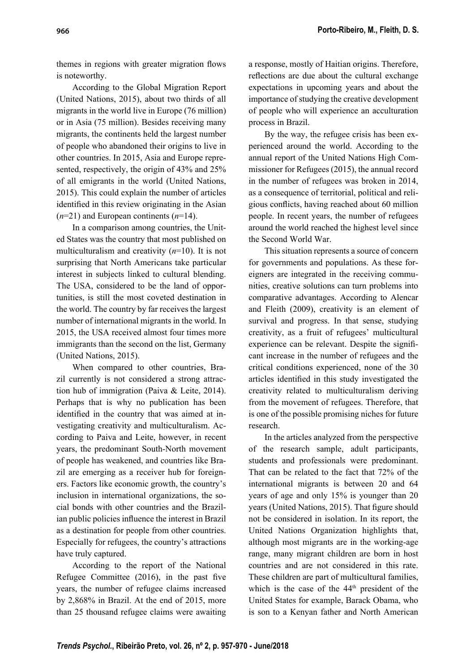themes in regions with greater migration flows is noteworthy.

According to the Global Migration Report (United Nations, 2015), about two thirds of all migrants in the world live in Europe (76 million) or in Asia (75 million). Besides receiving many migrants, the continents held the largest number of people who abandoned their origins to live in other countries. In 2015, Asia and Europe represented, respectively, the origin of 43% and 25% of all emigrants in the world (United Nations, 2015). This could explain the number of articles identified in this review originating in the Asian (*n*=21) and European continents (*n*=14).

In a comparison among countries, the United States was the country that most published on multiculturalism and creativity (*n*=10). It is not surprising that North Americans take particular interest in subjects linked to cultural blending. The USA, considered to be the land of opportunities, is still the most coveted destination in the world. The country by far receives the largest number of international migrants in the world. In 2015, the USA received almost four times more immigrants than the second on the list, Germany (United Nations, 2015).

When compared to other countries, Brazil currently is not considered a strong attraction hub of immigration (Paiva & Leite, 2014). Perhaps that is why no publication has been identified in the country that was aimed at investigating creativity and multiculturalism. According to Paiva and Leite, however, in recent years, the predominant South-North movement of people has weakened, and countries like Brazil are emerging as a receiver hub for foreigners. Factors like economic growth, the country's inclusion in international organizations, the social bonds with other countries and the Brazilian public policies influence the interest in Brazil as a destination for people from other countries. Especially for refugees, the country's attractions have truly captured.

According to the report of the National Refugee Committee  $(2016)$ , in the past five years, the number of refugee claims increased by 2,868% in Brazil. At the end of 2015, more than 25 thousand refugee claims were awaiting a response, mostly of Haitian origins. Therefore, reflections are due about the cultural exchange expectations in upcoming years and about the importance of studying the creative development of people who will experience an acculturation process in Brazil.

By the way, the refugee crisis has been experienced around the world. According to the annual report of the United Nations High Commissioner for Refugees (2015), the annual record in the number of refugees was broken in 2014, as a consequence of territorial, political and religious conflicts, having reached about 60 million people. In recent years, the number of refugees around the world reached the highest level since the Second World War.

This situation represents a source of concern for governments and populations. As these foreigners are integrated in the receiving communities, creative solutions can turn problems into comparative advantages. According to Alencar and Fleith (2009), creativity is an element of survival and progress. In that sense, studying creativity, as a fruit of refugees' multicultural experience can be relevant. Despite the significant increase in the number of refugees and the critical conditions experienced, none of the 30 articles identified in this study investigated the creativity related to multiculturalism deriving from the movement of refugees. Therefore, that is one of the possible promising niches for future research.

In the articles analyzed from the perspective of the research sample, adult participants, students and professionals were predominant. That can be related to the fact that 72% of the international migrants is between 20 and 64 years of age and only 15% is younger than 20 years (United Nations, 2015). That figure should not be considered in isolation. In its report, the United Nations Organization highlights that, although most migrants are in the working-age range, many migrant children are born in host countries and are not considered in this rate. These children are part of multicultural families, which is the case of the 44<sup>th</sup> president of the United States for example, Barack Obama, who is son to a Kenyan father and North American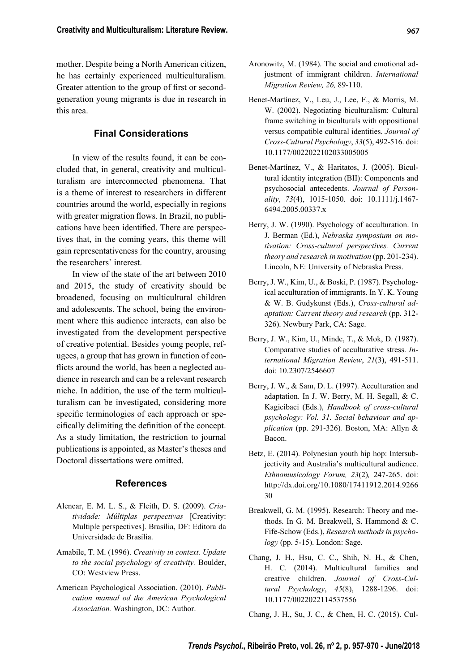mother. Despite being a North American citizen, he has certainly experienced multiculturalism. Greater attention to the group of first or secondgeneration young migrants is due in research in this area.

### **Final Considerations**

In view of the results found, it can be concluded that, in general, creativity and multiculturalism are interconnected phenomena. That is a theme of interest to researchers in different countries around the world, especially in regions with greater migration flows. In Brazil, no publications have been identified. There are perspectives that, in the coming years, this theme will gain representativeness for the country, arousing the researchers' interest.

In view of the state of the art between 2010 and 2015, the study of creativity should be broadened, focusing on multicultural children and adolescents. The school, being the environment where this audience interacts, can also be investigated from the development perspective of creative potential. Besides young people, refugees, a group that has grown in function of conflicts around the world, has been a neglected audience in research and can be a relevant research niche. In addition, the use of the term multiculturalism can be investigated, considering more specific terminologies of each approach or specifically delimiting the definition of the concept. As a study limitation, the restriction to journal publications is appointed, as Master's theses and Doctoral dissertations were omitted.

#### **References**

- Alencar, E. M. L. S., & Fleith, D. S. (2009). *Criatividade: Múltiplas perspectivas* [Creativity: Multiple perspectives]. Brasília, DF: Editora da Universidade de Brasília.
- Amabile, T. M. (1996). *Creativity in context. Update to the social psychology of creativity.* Boulder, CO: Westview Press.
- American Psychological Association. (2010). *Publication manual od the American Psychological Association.* Washington, DC: Author.
- Aronowitz, M. (1984). The social and emotional adjustment of immigrant children. *International Migration Review, 26,* 89-110.
- Benet-Martínez, V., Leu, J., Lee, F., & Morris, M. W. (2002). Negotiating biculturalism: Cultural frame switching in biculturals with oppositional versus compatible cultural identities. *Journal of Cross-Cultural Psychology*, *33*(5), 492-516. doi: 10.1177/0022022102033005005
- Benet-Martínez, V., & Haritatos, J. (2005). Bicultural identity integration (BII): Components and psychosocial antecedents. *Journal of Personality*, *73*(4), 1015-1050. doi: 10.1111/j.1467- 6494.2005.00337.x
- Berry, J. W. (1990). Psychology of acculturation. In J. Berman (Ed.), *Nebraska symposium on motivation: Cross-cultural perspectives. Current theory and research in motivation* (pp. 201-234). Lincoln, NE: University of Nebraska Press.
- Berry, J. W., Kim, U., & Boski, P. (1987). Psychological acculturation of immigrants. In Y. K. Young & W. B. Gudykunst (Eds.), *Cross-cultural adaptation: Current theory and research* (pp. 312- 326). Newbury Park, CA: Sage.
- Berry, J. W., Kim, U., Minde, T., & Mok, D. (1987). Comparative studies of acculturative stress. *International Migration Review*, *21*(3), 491-511. doi: 10.2307/2546607
- Berry, J. W., & Sam, D. L. (1997). Acculturation and adaptation. In J. W. Berry, M. H. Segall, & C. Kagicibaci (Eds.), *Handbook of cross-cultural psychology: Vol. 31. Social behaviour and application* (pp. 291-326)*.* Boston, MA: Allyn & Bacon.
- Betz, E. (2014). Polynesian youth hip hop: Intersubjectivity and Australia's multicultural audience. *Ethnomusicology Forum, 23*(2)*,* 247-265. doi: http://dx.doi.org/10.1080/17411912.2014.9266 30
- Breakwell, G. M. (1995). Research: Theory and methods. In G. M. Breakwell, S. Hammond & C. Fife-Schow (Eds.), *Research methods in psychology* (pp. 5-15). London: Sage.
- Chang, J. H., Hsu, C. C., Shih, N. H., & Chen, H. C. (2014). Multicultural families and creative children. *Journal of Cross-Cultural Psychology*, *45*(8), 1288-1296. doi: 10.1177/0022022114537556
- Chang, J. H., Su, J. C., & Chen, H. C. (2015). Cul-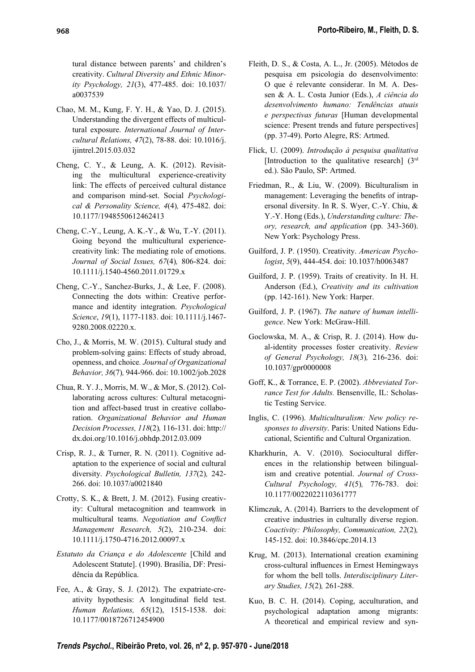tural distance between parents' and children's creativity. *Cultural Diversity and Ethnic Minority Psychology, 21*(3), 477-485. doi: 10.1037/ a0037539

- Chao, M. M., Kung, F. Y. H., & Yao, D. J. (2015). Understanding the divergent effects of multicultural exposure. *International Journal of Intercultural Relations, 47*(2), 78-88. doi: 10.1016/j. ijintrel.2015.03.032
- Cheng, C. Y., & Leung, A. K. (2012). Revisiting the multicultural experience-creativity link: The effects of perceived cultural distance and comparison mind-set. Social *Psychological & Personality Science, 4*(4)*,* 475-482. doi: 10.1177/1948550612462413
- Cheng, C.-Y., Leung, A. K.-Y., & Wu, T.-Y. (2011). Going beyond the multicultural experiencecreativity link: The mediating role of emotions. *Journal of Social Issues, 67*(4)*,* 806-824. doi: 10.1111/j.1540-4560.2011.01729.x
- Cheng, C.-Y., Sanchez-Burks, J., & Lee, F. (2008). Connecting the dots within: Creative performance and identity integration. *Psychological Science*, *19*(1), 1177-1183. doi: 10.1111/j.1467- 9280.2008.02220.x.
- Cho, J., & Morris, M. W. (2015). Cultural study and problem-solving gains: Effects of study abroad, openness, and choice*. Journal of Organizational Behavior, 36*(7)*,* 944-966. doi: 10.1002/job.2028
- Chua, R. Y. J., Morris, M. W., & Mor, S. (2012). Collaborating across cultures: Cultural metacognition and affect-based trust in creative collaboration. *Organizational Behavior and Human Decision Processes, 118*(2)*,* 116-131. doi: http:// dx.doi.org/10.1016/j.obhdp.2012.03.009
- Crisp, R. J., & Turner, R. N. (2011). Cognitive adaptation to the experience of social and cultural diversity. *Psychological Bulletin, 137*(2)*,* 242- 266. doi: 10.1037/a0021840
- Crotty, S. K., & Brett, J. M. (2012). Fusing creativity: Cultural metacognition and teamwork in multicultural teams. *Negotiation and Conflict Management Research, 5*(2), 210-234. doi: 10.1111/j.1750-4716.2012.00097.x
- *Estatuto da Criança e do Adolescente* [Child and Adolescent Statute]. (1990). Brasília, DF: Presidência da República.
- Fee, A., & Gray, S. J. (2012). The expatriate-creativity hypothesis: A longitudinal field test. *Human Relations, 65*(12), 1515-1538. doi: 10.1177/0018726712454900
- Fleith, D. S., & Costa, A. L., Jr. (2005). Métodos de pesquisa em psicologia do desenvolvimento: O que é relevante considerar. In M. A. Dessen & A. L. Costa Junior (Eds.), *A ciência do desenvolvimento humano: Tendências atuais e perspectivas futuras* [Human developmental science: Present trends and future perspectives] (pp. 37-49). Porto Alegre, RS: Artmed.
- Flick, U. (2009). *Introdução à pesquisa qualitativa* [Introduction to the qualitative research]  $(3<sup>rd</sup>)$ ed.). São Paulo, SP: Artmed.
- Friedman, R., & Liu, W. (2009). Biculturalism in management: Leveraging the benefits of intrapersonal diversity. In R. S. Wyer, C.-Y. Chiu, & Y.-Y. Hong (Eds.), *Understanding culture: Theory, research, and application* (pp. 343-360). New York: Psychology Press.
- Guilford, J. P. (1950). Creativity. *American Psychologist*, *5*(9), 444-454. doi: 10.1037/h0063487
- Guilford, J. P. (1959). Traits of creativity. In H. H. Anderson (Ed.), *Creativity and its cultivation* (pp. 142-161). New York: Harper.
- Guilford, J. P. (1967). *The nature of human intelligence*. New York: McGraw-Hill.
- Goclowska, M. A., & Crisp, R. J. (2014). How dual-identity processes foster creativity. *Review of General Psychology, 18*(3)*,* 216-236. doi: 10.1037/gpr0000008
- Goff, K., & Torrance, E. P. (2002). *Abbreviated Torrance Test for Adults.* Bensenville, IL: Scholastic Testing Service.
- Inglis, C. (1996). *Multiculturalism: New policy responses to diversity*. Paris: United Nations Educational, Scientific and Cultural Organization.
- Kharkhurin, A. V. (2010). Sociocultural differences in the relationship between bilingualism and creative potential. *Journal of Cross-Cultural Psychology, 41*(5)*,* 776-783. doi: 10.1177/0022022110361777
- Klimczuk, A. (2014). Barriers to the development of creative industries in culturally diverse region. *Coactivity: Philosophy, Communication, 22*(2)*,*  145-152. doi: 10.3846/cpc.2014.13
- Krug, M. (2013). International creation examining cross-cultural influences in Ernest Hemingways for whom the bell tolls. *Interdisciplinary Literary Studies, 15*(2)*,* 261-288.
- Kuo, B. C. H. (2014). Coping, acculturation, and psychological adaptation among migrants: A theoretical and empirical review and syn-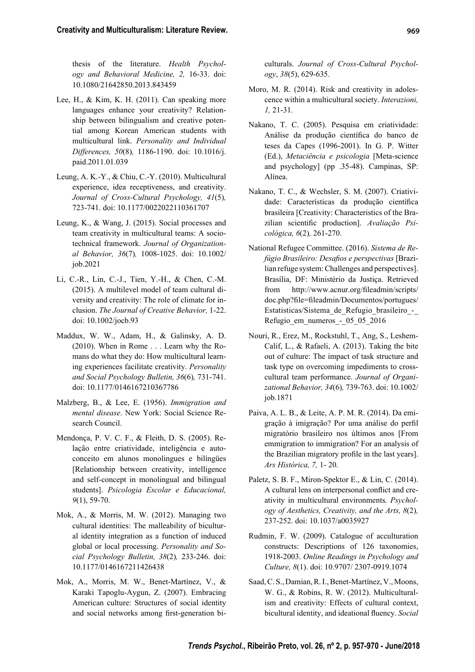thesis of the literature. *Health Psychology and Behavioral Medicine, 2,* 16-33. doi: 10.1080/21642850.2013.843459

- Lee, H., & Kim, K. H. (2011). Can speaking more languages enhance your creativity? Relationship between bilingualism and creative potential among Korean American students with multicultural link. *Personality and Individual Differences, 50*(8)*,* 1186-1190. doi: 10.1016/j. paid.2011.01.039
- Leung, A. K.-Y., & Chiu, C.-Y. (2010). Multicultural experience, idea receptiveness, and creativity. *Journal of Cross-Cultural Psychology, 41*(5)*,*  723-741. doi: 10.1177/0022022110361707
- Leung, K., & Wang, J. (2015). Social processes and team creativity in multicultural teams: A sociotechnical framework. *Journal of Organizational Behavior, 36*(7)*,* 1008-1025. doi: 10.1002/ job.2021
- Li, C.-R., Lin, C.-J., Tien, Y.-H., & Chen, C.-M. (2015). A multilevel model of team cultural diversity and creativity: The role of climate for inclusion. *The Journal of Creative Behavior,* 1-22. doi: 10.1002/jocb.93
- Maddux, W. W., Adam, H., & Galinsky, A. D. (2010). When in Rome . . . Learn why the Romans do what they do: How multicultural learning experiences facilitate creativity. *Personality and Social Psychology Bulletin, 36*(6)*,* 731-741. doi: 10.1177/0146167210367786
- Malzberg, B., & Lee, E. (1956). *Immigration and mental disease*. New York: Social Science Research Council.
- Mendonça, P. V. C. F., & Fleith, D. S. (2005). Relação entre criatividade, inteligência e autoconceito em alunos monolingues e bilíngües [Relationship between creativity, intelligence and self-concept in monolingual and bilingual students]. *Psicologia Escolar e Educacional, 9*(1), 59-70.
- Mok, A., & Morris, M. W. (2012). Managing two cultural identities: The malleability of bicultural identity integration as a function of induced global or local processing. *Personality and Social Psychology Bulletin, 38*(2)*,* 233-246. doi: 10.1177/0146167211426438
- Mok, A., Morris, M. W., Benet-Martínez, V., & Karaki Tapoglu-Aygun, Z. (2007). Embracing American culture: Structures of social identity and social networks among first-generation bi-

culturals. *Journal of Cross-Cultural Psychology*, *38*(5), 629-635.

- Moro, M. R. (2014). Risk and creativity in adolescence within a multicultural society. *Interazioni, 1,* 21-31.
- Nakano, T. C. (2005). Pesquisa em criatividade: Análise da produção científica do banco de teses da Capes (1996-2001). In G. P. Witter (Ed.), *Metaciência e psicologia* [Meta-science and psychology] (pp .35-48). Campinas, SP: Alínea.
- Nakano, T. C., & Wechsler, S. M. (2007). Criatividade: Características da produção científica brasileira [Creativity: Characteristics of the Brazilian scientific production]. *Avaliação Psicológica, 6*(2)*,* 261-270.
- National Refugee Committee. (2016). *Sistema de Refúgio Brasileiro: Desafios e perspectivas* [Brazilian refuge system: Challenges and perspectives]. Brasília, DF: Ministério da Justiça. Retrieved from http://www.acnur.org/fileadmin/scripts/ doc.php?file=fileadmin/Documentos/portugues/ Estatisticas/Sistema\_de\_Refugio\_brasileiro\_-\_ Refugio\_em\_numeros\_-\_05\_05\_2016
- Nouri, R., Erez, M., Rockstuhl, T., Ang, S., Leshem-Calif, L., & Rafaeli, A. (2013). Taking the bite out of culture: The impact of task structure and task type on overcoming impediments to crosscultural team performance. *Journal of Organizational Behavior, 34*(6)*,* 739-763. doi: 10.1002/ job.1871
- Paiva, A. L. B., & Leite, A. P. M. R. (2014). Da emigração à imigração? Por uma análise do perfil migratório brasileiro nos últimos anos [From emmigration to immigration? For an analysis of the Brazilian migratory profile in the last years]. *Ars Histórica, 7,* 1- 20.
- Paletz, S. B. F., Miron-Spektor E., & Lin, C. (2014). A cultural lens on interpersonal conflict and creativity in multicultural environments. *Psychology of Aesthetics, Creativity, and the Arts, 8*(2)*,* 237-252. doi: 10.1037/a0035927
- Rudmin, F. W. (2009). Catalogue of acculturation constructs: Descriptions of 126 taxonomies, 1918-2003. *Online Readings in Psychology and Culture, 8*(1). doi: 10.9707/ 2307-0919.1074
- Saad, C. S., Damian, R. I., Benet-Martínez, V., Moons, W. G., & Robins, R. W. (2012). Multiculturalism and creativity: Effects of cultural context, bicultural identity, and ideational fluency. *Social*